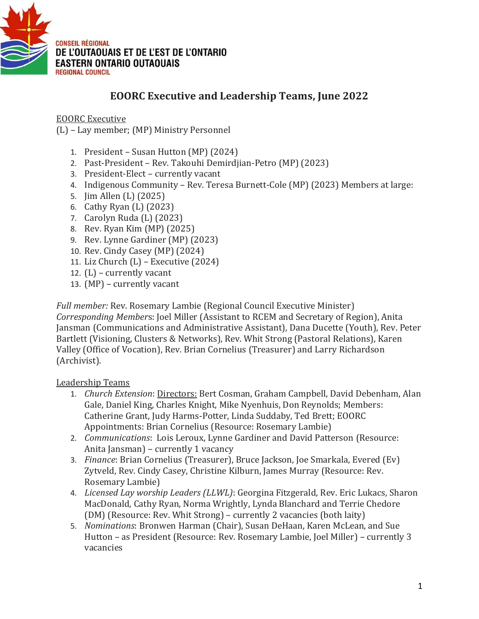

## **EOORC Executive and Leadership Teams, June 2022**

EOORC Executive

(L) – Lay member; (MP) Ministry Personnel

- 1. President *–* Susan Hutton (MP) (2024)
- 2. Past-President Rev. Takouhi Demirdjian-Petro (MP) (2023)
- 3. President-Elect currently vacant
- 4. Indigenous Community Rev. Teresa Burnett-Cole (MP) (2023) Members at large:
- 5. Jim Allen (L) (2025)
- 6. Cathy Ryan (L) (2023)
- 7. Carolyn Ruda (L) (2023)
- 8. Rev. Ryan Kim (MP) (2025)
- 9. Rev. Lynne Gardiner (MP) (2023)
- 10. Rev. Cindy Casey (MP) (2024)
- 11. Liz Church  $(L)$  Executive  $(2024)$
- 12. (L) currently vacant
- 13. (MP) currently vacant

*Full member:* Rev. Rosemary Lambie (Regional Council Executive Minister) *Corresponding Member*s: Joel Miller (Assistant to RCEM and Secretary of Region), Anita Jansman (Communications and Administrative Assistant), Dana Ducette (Youth), Rev. Peter Bartlett (Visioning, Clusters & Networks), Rev. Whit Strong (Pastoral Relations), Karen Valley (Office of Vocation), Rev. Brian Cornelius (Treasurer) and Larry Richardson (Archivist).

Leadership Teams

- 1. *Church Extension*: Directors: Bert Cosman, Graham Campbell, David Debenham, Alan Gale, Daniel King, Charles Knight, Mike Nyenhuis, Don Reynolds; Members: Catherine Grant, Judy Harms-Potter, Linda Suddaby, Ted Brett; EOORC Appointments: Brian Cornelius (Resource: Rosemary Lambie)
- 2. *Communications*: Lois Leroux, Lynne Gardiner and David Patterson (Resource: Anita Jansman) – currently 1 vacancy
- 3. *Finance*: Brian Cornelius (Treasurer), Bruce Jackson, Joe Smarkala, Evered (Ev) Zytveld, Rev. Cindy Casey, Christine Kilburn, James Murray (Resource: Rev. Rosemary Lambie)
- 4. *Licensed Lay worship Leaders (LLWL)*: Georgina Fitzgerald, Rev. Eric Lukacs, Sharon MacDonald, Cathy Ryan, Norma Wrightly, Lynda Blanchard and Terrie Chedore (DM) (Resource: Rev. Whit Strong) – currently 2 vacancies (both laity)
- 5. *Nominations*: Bronwen Harman (Chair), Susan DeHaan, Karen McLean, and Sue Hutton – as President (Resource: Rev. Rosemary Lambie, Joel Miller) – currently 3 vacancies